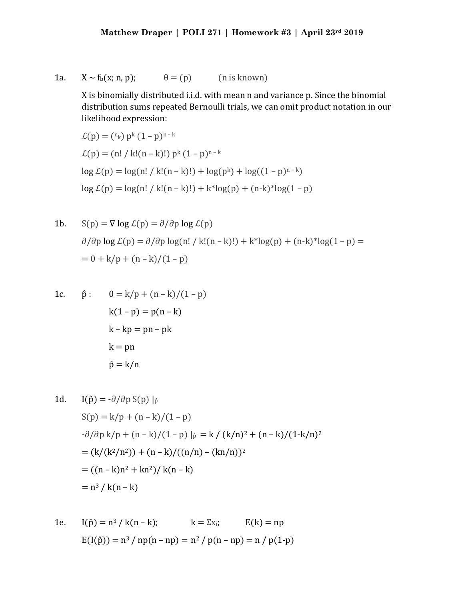1a.  $X \sim f_b(x; n, p); \qquad \theta = (p)$  (n is known)

X is binomially distributed i.i.d. with mean n and variance p. Since the binomial distribution sums repeated Bernoulli trials, we can omit product notation in our likelihood expression:

$$
\mathcal{L}(p) = {^{n_k}} p^k (1-p)^{n-k}
$$
  
\n
$$
\mathcal{L}(p) = (n! / k!(n-k)!) p^k (1-p)^{n-k}
$$
  
\n
$$
\log \mathcal{L}(p) = \log(n! / k!(n-k)!) + \log(p^k) + \log((1-p)^{n-k})
$$
  
\n
$$
\log \mathcal{L}(p) = \log(n! / k!(n-k)!) + k^* \log(p) + (n-k)^* \log(1-p)
$$

1b. 
$$
S(p) = \nabla \log \mathcal{L}(p) = \partial/\partial p \log \mathcal{L}(p)
$$
  
\n $\partial/\partial p \log \mathcal{L}(p) = \partial/\partial p \log(n! / k!(n-k)!) + k^* \log(p) + (n-k)^* \log(1-p) =$   
\n $= 0 + k/p + (n-k)/(1-p)$ 

1c. 
$$
\hat{p}
$$
:  $0 = k/p + (n - k)/(1 - p)$   
\n $k(1-p) = p(n - k)$   
\n $k - kp = pn - pk$   
\n $k = pn$   
\n $\hat{p} = k/n$ 

1d. 
$$
I(\hat{p}) = -\partial/\partial p S(p) |_{\hat{p}}
$$
  
\n
$$
S(p) = k/p + (n - k)/(1 - p)
$$
  
\n
$$
-\partial/\partial p k/p + (n - k)/(1 - p) |_{\hat{p}} = k / (k/n)^2 + (n - k)/(1 - k/n)^2
$$
  
\n
$$
= (k/(k^2/n^2)) + (n - k)/((n/n) - (kn/n))^2
$$
  
\n
$$
= ((n - k)n^2 + kn^2)/k(n - k)
$$
  
\n
$$
= n^3 / k(n - k)
$$

1e. 
$$
I(\hat{p}) = n^3 / k(n-k);
$$
  $k = \sum x_i;$   $E(k) = np$   
 $E(I(\hat{p})) = n^3 / np(n - np) = n^2 / p(n - np) = n / p(1-p)$